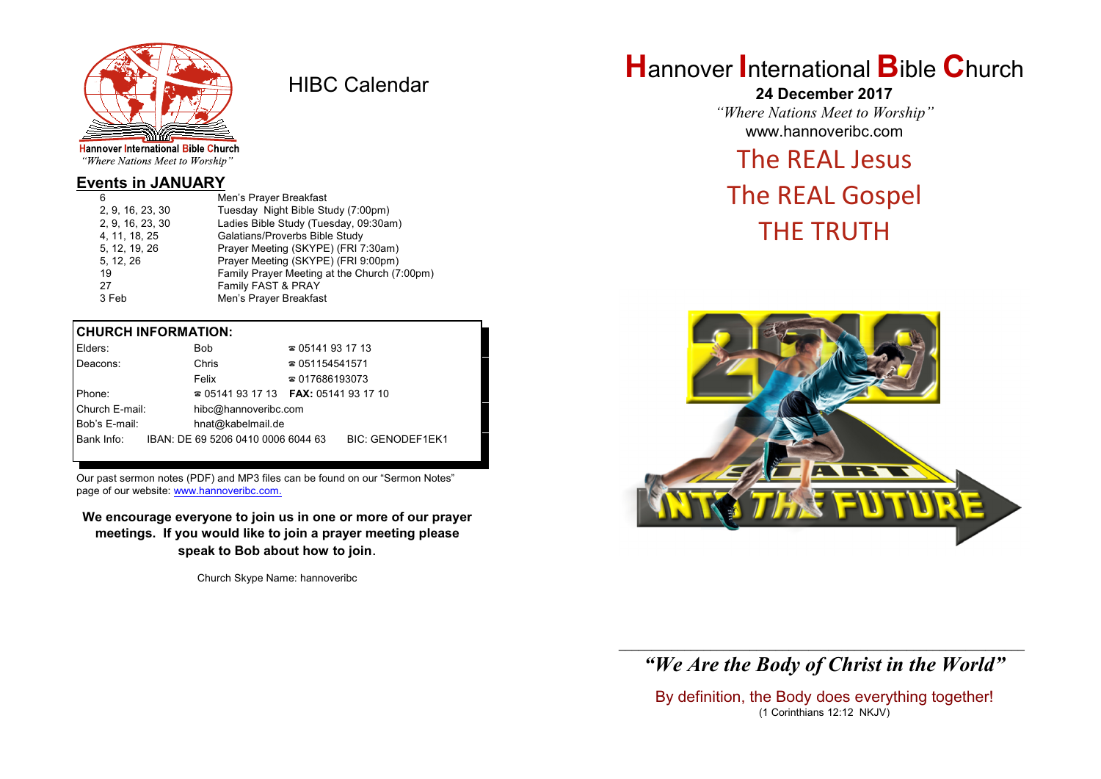

HIBC Calendar

"Where Nations Meet to Worship"

## **Events in JANUARY**

| 6                | Men's Prayer Breakfast                       |
|------------------|----------------------------------------------|
| 2, 9, 16, 23, 30 | Tuesday Night Bible Study (7:00pm)           |
| 2, 9, 16, 23, 30 | Ladies Bible Study (Tuesday, 09:30am)        |
| 4, 11, 18, 25    | Galatians/Proverbs Bible Study               |
| 5, 12, 19, 26    | Prayer Meeting (SKYPE) (FRI 7:30am)          |
| 5, 12, 26        | Prayer Meeting (SKYPE) (FRI 9:00pm)          |
| 19               | Family Prayer Meeting at the Church (7:00pm) |
| 27               | Family FAST & PRAY                           |
| 3 Feb            | Men's Prayer Breakfast                       |
|                  |                                              |

## **CHURCH INFORMATION:**

| Elders:        |  | <b>Bob</b>                                    | $\approx 05141931713$  |                         |
|----------------|--|-----------------------------------------------|------------------------|-------------------------|
| Deacons:       |  | Chris                                         | $\approx 051154541571$ |                         |
|                |  | Felix                                         | $\approx 017686193073$ |                         |
| Phone:         |  | $\approx 05141931713$ FAX: 0514193 17 10      |                        |                         |
| Church E-mail: |  | hibc@hannoveribc.com                          |                        |                         |
| Bob's E-mail:  |  | hnat@kabelmail.de                             |                        |                         |
|                |  | Bank Info: IBAN: DE 69 5206 0410 0006 6044 63 |                        | <b>BIC: GENODEF1EK1</b> |
|                |  |                                               |                        |                         |

Our past sermon notes (PDF) and MP3 files can be found on our "Sermon Notes" page of our website: [www.hannoveribc.com.](http://www.hannoveribc.com.)

**We encourage everyone to join us in one or more of our prayer meetings. If you would like to join a prayer meeting please speak to Bob about how to join**.

Church Skype Name: hannoveribc

## **H**annover **I**nternational **B**ible **C**hurch

**24 December 2017** *"Where Nations Meet to Worship"* www.hannoveribc.com

## The REAL Jesus

# The REAL Gospel THE TRUTH



## \_\_\_\_\_\_\_\_\_\_\_\_\_\_\_\_\_\_\_\_\_\_\_\_\_\_\_\_\_\_\_\_\_\_\_\_\_\_\_\_\_\_\_\_\_\_\_\_\_\_\_\_\_\_\_\_\_\_\_\_\_\_ *"We Are the Body of Christ in the World"*

By definition, the Body does everything together! (1 Corinthians 12:12 NKJV)